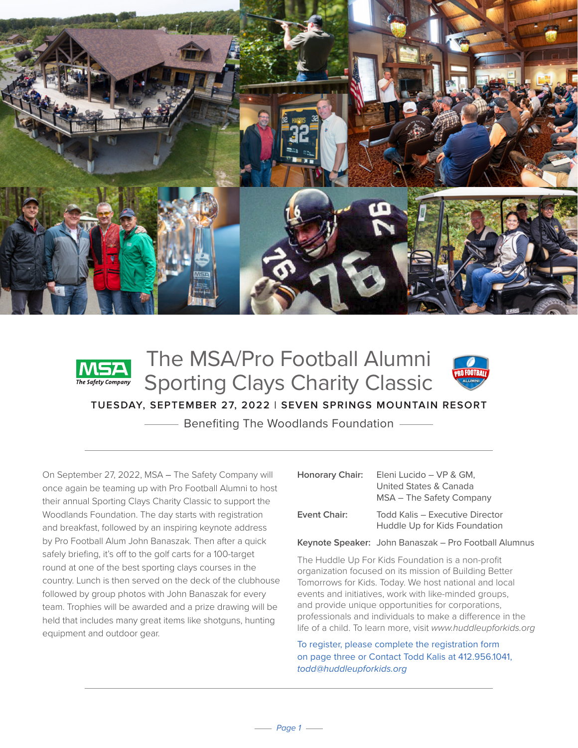







**TUESDAY, SEPTEMBER 27, 2022 | SEVEN SPRINGS MOUNTAIN RESORT**

Benefiting The Woodlands Foundation

On September 27, 2022, MSA – The Safety Company will once again be teaming up with Pro Football Alumni to host their annual Sporting Clays Charity Classic to support the Woodlands Foundation. The day starts with registration and breakfast, followed by an inspiring keynote address by Pro Football Alum John Banaszak. Then after a quick safely briefing, it's off to the golf carts for a 100-target round at one of the best sporting clays courses in the country. Lunch is then served on the deck of the clubhouse followed by group photos with John Banaszak for every team. Trophies will be awarded and a prize drawing will be held that includes many great items like shotguns, hunting equipment and outdoor gear.

| Honorary Chair: | Eleni Lucido - VP & GM,<br>United States & Canada<br>MSA – The Safety Company |
|-----------------|-------------------------------------------------------------------------------|
| Event Chair:    | Todd Kalis – Executive Director<br>Huddle Up for Kids Foundation              |
|                 | Keynote Speaker: John Banaszak – Pro Football Alumnus                         |

The Huddle Up For Kids Foundation is a non-profit organization focused on its mission of Building Better Tomorrows for Kids. Today. We host national and local events and initiatives, work with like-minded groups, and provide unique opportunities for corporations, professionals and individuals to make a difference in the life of a child. To learn more, visit www.huddleupforkids.org

To register, please complete the registration form on page three or Contact Todd Kalis at 412.956.1041, *todd@huddleupforkids.org*

*Page 1*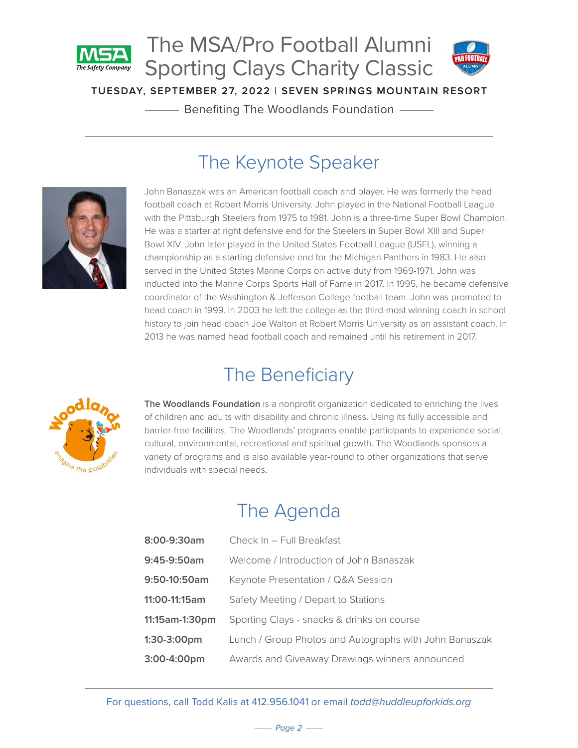

# The MSA/Pro Football Alumni Sporting Clays Charity Classic



**TUESDAY, SEPTEMBER 27, 2022 | SEVEN SPRINGS MOUNTAIN RESORT**

- Benefiting The Woodlands Foundation -

## The Keynote Speaker



John Banaszak was an American football coach and player. He was formerly the head football coach at Robert Morris University. John played in the National Football League with the Pittsburgh Steelers from 1975 to 1981. John is a three-time Super Bowl Champion. He was a starter at right defensive end for the Steelers in Super Bowl XIII and Super Bowl XIV. John later played in the United States Football League (USFL), winning a championship as a starting defensive end for the Michigan Panthers in 1983. He also served in the United States Marine Corps on active duty from 1969-1971. John was inducted into the Marine Corps Sports Hall of Fame in 2017. In 1995, he became defensive coordinator of the Washington & Jefferson College football team. John was promoted to head coach in 1999. In 2003 he left the college as the third-most winning coach in school history to join head coach Joe Walton at Robert Morris University as an assistant coach. In 2013 he was named head football coach and remained until his retirement in 2017.

## The Beneficiary



**The Woodlands Foundation** is a nonprofit organization dedicated to enriching the lives of children and adults with disability and chronic illness. Using its fully accessible and barrier-free facilities, The Woodlands' programs enable participants to experience social, cultural, environmental, recreational and spiritual growth. The Woodlands sponsors a variety of programs and is also available year-round to other organizations that serve individuals with special needs.

## The Agenda

| 8:00-9:30am    | Check In - Full Breakfast                              |
|----------------|--------------------------------------------------------|
| $9:45-9:50am$  | Welcome / Introduction of John Banaszak                |
| 9:50-10:50am   | Keynote Presentation / Q&A Session                     |
| 11:00-11:15am  | Safety Meeting / Depart to Stations                    |
| 11:15am-1:30pm | Sporting Clays - snacks & drinks on course             |
| 1:30-3:00pm    | Lunch / Group Photos and Autographs with John Banaszak |
| 3:00-4:00pm    | Awards and Giveaway Drawings winners announced         |

*Page 2*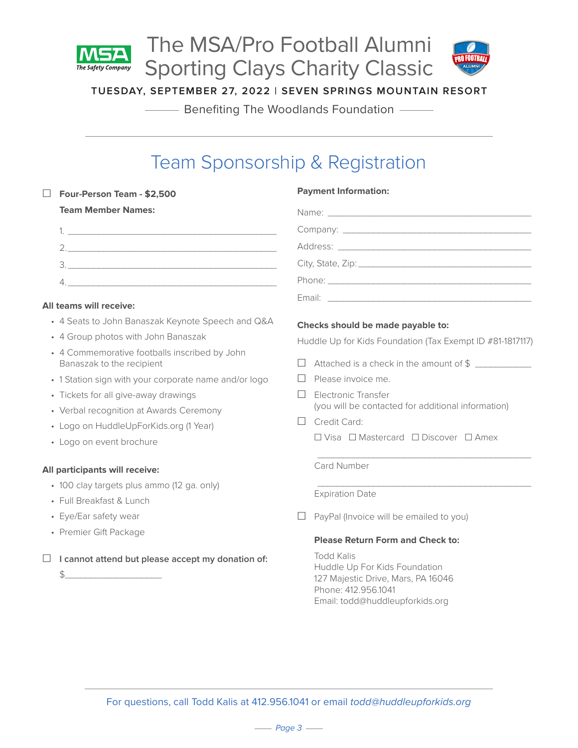

The MSA/Pro Football Alumni Sporting Clays Charity Classic



**TUESDAY, SEPTEMBER 27, 2022 | SEVEN SPRINGS MOUNTAIN RESORT**

 $-$  Benefiting The Woodlands Foundation  $-$ 

### Team Sponsorship & Registration

#### ☐ **Four-Person Team - \$2,500**

#### **All teams will receive:**

- 4 Seats to John Banaszak Keynote Speech and Q&A
- 4 Group photos with John Banaszak
- 4 Commemorative footballs inscribed by John Banaszak to the recipient
- 1 Station sign with your corporate name and/or logo
- Tickets for all give-away drawings
- Verbal recognition at Awards Ceremony
- Logo on HuddleUpForKids.org (1 Year)
- Logo on event brochure

#### **All participants will receive:**

- 100 clay targets plus ammo (12 ga. only)
- Full Breakfast & Lunch
- Eye/Ear safety wear
- Premier Gift Package
- ☐ **I cannot attend but please accept my donation of:**  $\frac{1}{2}$

#### **Payment Information:**

| City, State, Zip: 2000 |
|------------------------|
|                        |
|                        |

#### **Checks should be made payable to:**

Huddle Up for Kids Foundation (Tax Exempt ID #81-1817117)

- $\Box$  Attached is a check in the amount of \$
- ☐ Please invoice me.
- □ Electronic Transfer (you will be contacted for additional information)
- □ Credit Card:

☐ Visa ☐ Mastercard ☐ Discover ☐ Amex

\_\_\_\_\_\_\_\_\_\_\_\_\_\_\_\_\_\_\_\_\_\_\_\_\_\_\_\_\_\_\_\_\_\_\_\_\_\_\_\_\_\_

\_\_\_\_\_\_\_\_\_\_\_\_\_\_\_\_\_\_\_\_\_\_\_\_\_\_\_\_\_\_\_\_\_\_\_\_\_\_\_\_\_\_

Card Number

Expiration Date

 $\Box$  PayPal (Invoice will be emailed to you)

#### **Please Return Form and Check to:**

Todd Kalis Huddle Up For Kids Foundation 127 Majestic Drive, Mars, PA 16046 Phone: 412.956.1041 Email: todd@huddleupforkids.org